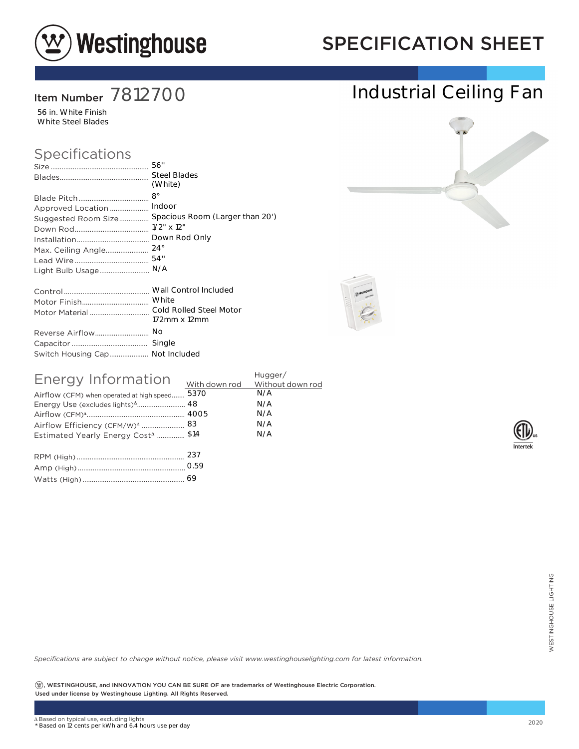

## SPECIFICATION SHEET

### Item Number 7812700

56 in. White Finish White Steel Blades

#### Specifications

|                                 | (White)                                             |
|---------------------------------|-----------------------------------------------------|
|                                 |                                                     |
| Approved Location               | Indoor                                              |
|                                 | Suggested Room Size Spacious Room (Larger than 20') |
|                                 |                                                     |
|                                 | Down Rod Only                                       |
| Max. Ceiling Angle              | $24^{\circ}$                                        |
|                                 | 54"                                                 |
| Light Bulb Usage                | N/A                                                 |
|                                 |                                                     |
|                                 |                                                     |
|                                 |                                                     |
|                                 | 172mm x 12mm                                        |
|                                 | No                                                  |
|                                 |                                                     |
| Switch Housing Cap Not Included |                                                     |

| Energy Information                             | Hugger/    |
|------------------------------------------------|------------|
| Airflow (CFM) when operated at high speed 5370 | N/A<br>N/A |
|                                                | N/A        |
|                                                | N/A        |
| Estimated Yearly Energy Cost <sup>4</sup> \$14 | N/A        |
|                                                |            |
|                                                |            |

| 69 |
|----|
|    |

*Specifications are subject to change without notice, please visit www.westinghouselighting.com for latest information.*

 $\left( \mathfrak{B}\right)$ , WESTINGHOUSE, and INNOVATION YOU CAN BE SURE OF are trademarks of Westinghouse Electric Corporation. Used under license by Westinghouse Lighting. All Rights Reserved. 69<br>
Cotice, please visit www.westinghouselighting.com for latest information.<br>
2020<br>
2020<br>
2020<br>
2020